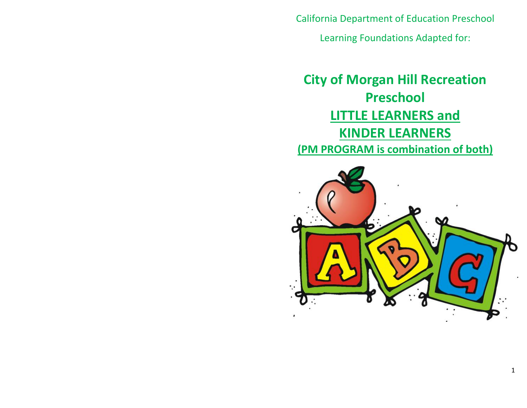California Department of Education Preschool

Learning Foundations Adapted for:

# **City of Morgan Hill Recreation Preschool LITTLE LEARNERS and KINDER LEARNERS (PM PROGRAM is combination of both)**

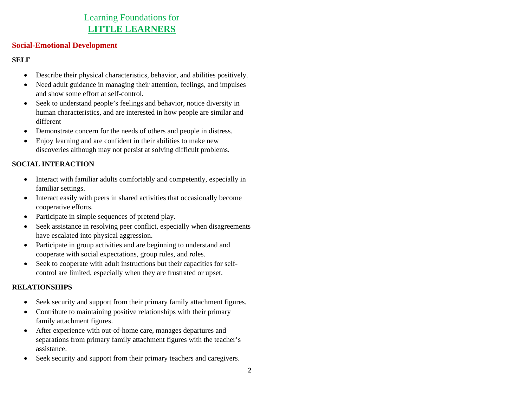# Learning Foundations for **LITTLE LEARNERS**

#### **Social-Emotional Development**

#### **SELF**

- $\bullet$ Describe their physical characteristics, behavior, and abilities positively.
- $\bullet$  Need adult guidance in managing their attention, feelings, and impulses and show some effort at self-control.
- $\bullet$  Seek to understand people's feelings and behavior, notice diversity in human characteristics, and are interested in how people are similar and different
- $\bullet$ Demonstrate concern for the needs of others and people in distress.
- $\bullet$  Enjoy learning and are confident in their abilities to make new discoveries although may not persist at solving difficult problems.

# **SOCIAL INTERACTION**

- $\bullet$  Interact with familiar adults comfortably and competently, especially in familiar settings.
- Interact easily with peers in shared activities that occasionally become cooperative efforts.
- $\bullet$ Participate in simple sequences of pretend play.
- $\bullet$  Seek assistance in resolving peer conflict, especially when disagreements have escalated into physical aggression.
- $\bullet$  Participate in group activities and are beginning to understand and cooperate with social expectations, group rules, and roles.
- Seek to cooperate with adult instructions but their capacities for selfcontrol are limited, especially when they are frustrated or upset.

## **RELATIONSHIPS**

- $\bullet$ Seek security and support from their primary family attachment figures.
- Contribute to maintaining positive relationships with their primary family attachment figures.
- After experience with out-of-home care, manages departures and separations from primary family attachment figures with the teacher's assistance.
- $\bullet$ Seek security and support from their primary teachers and caregivers.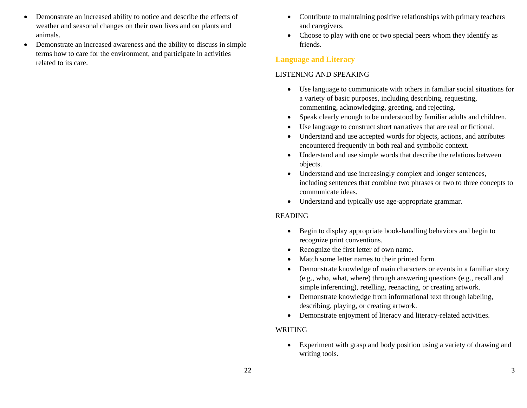- $\bullet$  Demonstrate an increased ability to notice and describe the effects of weather and seasonal changes on their own lives and on plants and animals.
- $\bullet$  Demonstrate an increased awareness and the ability to discuss in simple terms how to care for the environment, and participate in activities related to its care.
- $\bullet$  Contribute to maintaining positive relationships with primary teachers and caregivers.
- Choose to play with one or two special peers whom they identify as friends.

#### **Language and Literacy**

#### LISTENING AND SPEAKING

- $\bullet$  Use language to communicate with others in familiar social situations for a variety of basic purposes, including describing, requesting, commenting, acknowledging, greeting, and rejecting.
- $\bullet$ Speak clearly enough to be understood by familiar adults and children.
- 0 Use language to construct short narratives that are real or fictional.
- 0 Understand and use accepted words for objects, actions, and attributes encountered frequently in both real and symbolic context.
- $\bullet$  Understand and use simple words that describe the relations between objects.
- $\bullet$  Understand and use increasingly complex and longer sentences, including sentences that combine two phrases or two to three concepts to communicate ideas.
- Understand and typically use age-appropriate grammar.

## READING

- $\bullet$  Begin to display appropriate book-handling behaviors and begin to recognize print conventions.
- Recognize the first letter of own name.
- 0 Match some letter names to their printed form.
- $\bullet$  Demonstrate knowledge of main characters or events in a familiar story (e.g., who, what, where) through answering questions (e.g., recall and simple inferencing), retelling, reenacting, or creating artwork.
- Demonstrate knowledge from informational text through labeling, describing, playing, or creating artwork.
- $\bullet$ Demonstrate enjoyment of literacy and literacy-related activities.

## WRITING

 $\bullet$  Experiment with grasp and body position using a variety of drawing and writing tools.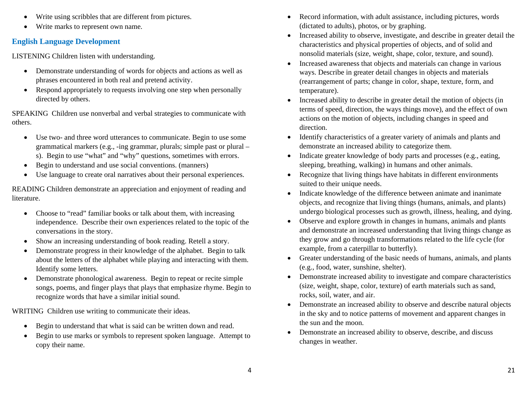- $\bullet$ Write using scribbles that are different from pictures.
- $\bullet$ Write marks to represent own name.

# **English Language Development**

LISTENING Children listen with understanding.

- $\bullet$  Demonstrate understanding of words for objects and actions as well as phrases encountered in both real and pretend activity.
- Respond appropriately to requests involving one step when personally directed by others.

SPEAKING Children use nonverbal and verbal strategies to communicate with others.

- $\bullet$  Use two- and three word utterances to communicate. Begin to use some grammatical markers (e.g., -ing grammar, plurals; simple past or plural – s). Begin to use "what" and "why" questions, sometimes with errors.
- $\bullet$ Begin to understand and use social conventions. (manners)
- $\bullet$ Use language to create oral narratives about their personal experiences.

READING Children demonstrate an appreciation and enjoyment of reading and literature.

- $\bullet$  Choose to "read" familiar books or talk about them, with increasing independence. Describe their own experiences related to the topic of the conversations in the story.
- $\bullet$ Show an increasing understanding of book reading. Retell a story.
- $\bullet$  Demonstrate progress in their knowledge of the alphabet. Begin to talk about the letters of the alphabet while playing and interacting with them. Identify some letters.
- $\bullet$  Demonstrate phonological awareness. Begin to repeat or recite simple songs, poems, and finger plays that plays that emphasize rhyme. Begin to recognize words that have a similar initial sound.

WRITING Children use writing to communicate their ideas.

- $\bullet$ Begin to understand that what is said can be written down and read.
- $\bullet$  Begin to use marks or symbols to represent spoken language. Attempt to copy their name.
- 0 Record information, with adult assistance, including pictures, words (dictated to adults), photos, or by graphing.
- $\bullet$  Increased ability to observe, investigate, and describe in greater detail the characteristics and physical properties of objects, and of solid and nonsolid materials (size, weight, shape, color, texture, and sound).
- $\bullet$  Increased awareness that objects and materials can change in various ways. Describe in greater detail changes in objects and materials (rearrangement of parts; change in color, shape, texture, form, and temperature).
- $\bullet$  Increased ability to describe in greater detail the motion of objects (in terms of speed, direction, the ways things move), and the effect of own actions on the motion of objects, including changes in speed and direction.
- $\bullet$  Identify characteristics of a greater variety of animals and plants and demonstrate an increased ability to categorize them.
- $\bullet$  Indicate greater knowledge of body parts and processes (e.g., eating, sleeping, breathing, walking) in humans and other animals.
- 0 Recognize that living things have habitats in different environments suited to their unique needs.
- $\bullet$  Indicate knowledge of the difference between animate and inanimate objects, and recognize that living things (humans, animals, and plants) undergo biological processes such as growth, illness, healing, and dying.
- $\bullet$  Observe and explore growth in changes in humans, animals and plants and demonstrate an increased understanding that living things change as they grow and go through transformations related to the life cycle (for example, from a caterpillar to butterfly).
- Greater understanding of the basic needs of humans, animals, and plants (e.g., food, water, sunshine, shelter).
- $\bullet$  Demonstrate increased ability to investigate and compare characteristics (size, weight, shape, color, texture) of earth materials such as sand, rocks, soil, water, and air.
- $\bullet$  Demonstrate an increased ability to observe and describe natural objects in the sky and to notice patterns of movement and apparent changes in the sun and the moon.
- 0 Demonstrate an increased ability to observe, describe, and discuss changes in weather.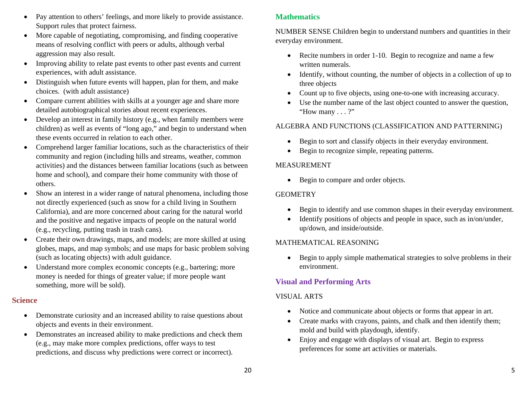- $\bullet$  Pay attention to others' feelings, and more likely to provide assistance. Support rules that protect fairness.
- More capable of negotiating, compromising, and finding cooperative means of resolving conflict with peers or adults, although verbal aggression may also result.
- Improving ability to relate past events to other past events and current experiences, with adult assistance.
- $\bullet$  Distinguish when future events will happen, plan for them, and make choices. (with adult assistance)
- Compare current abilities with skills at a younger age and share more detailed autobiographical stories about recent experiences.
- Develop an interest in family history (e.g., when family members were children) as well as events of "long ago," and begin to understand when these events occurred in relation to each other.
- $\bullet$  Comprehend larger familiar locations, such as the characteristics of their community and region (including hills and streams, weather, common activities) and the distances between familiar locations (such as between home and school), and compare their home community with those of others.
- $\bullet$  Show an interest in a wider range of natural phenomena, including those not directly experienced (such as snow for a child living in Southern California), and are more concerned about caring for the natural world and the positive and negative impacts of people on the natural world (e.g., recycling, putting trash in trash cans).
- $\bullet$  Create their own drawings, maps, and models; are more skilled at using globes, maps, and map symbols; and use maps for basic problem solving (such as locating objects) with adult guidance.
- $\bullet$  Understand more complex economic concepts (e.g., bartering; more money is needed for things of greater value; if more people want something, more will be sold).

## **Science**

- Demonstrate curiosity and an increased ability to raise questions about objects and events in their environment.
- Demonstrates an increased ability to make predictions and check them (e.g., may make more complex predictions, offer ways to test predictions, and discuss why predictions were correct or incorrect).

# **Mathematics**

NUMBER SENSE Children begin to understand numbers and quantities in their everyday environment.

- Recite numbers in order 1-10. Begin to recognize and name a few written numerals.
- Identify, without counting, the number of objects in a collection of up to three objects
- Count up to five objects, using one-to-one with increasing accuracy.
- $\bullet$  Use the number name of the last object counted to answer the question, "How many . . . ?"

# ALGEBRA AND FUNCTIONS (CLASSIFICATION AND PATTERNING)

- $\bullet$ Begin to sort and classify objects in their everyday environment.
- $\bullet$ Begin to recognize simple, repeating patterns.

# MEASUREMENT

• Begin to compare and order objects.

# **GEOMETRY**

- 0 Begin to identify and use common shapes in their everyday environment.
- $\bullet$  Identify positions of objects and people in space, such as in/on/under, up/down, and inside/outside.

## MATHEMATICAL REASONING

 $\bullet$  Begin to apply simple mathematical strategies to solve problems in their environment.

# **Visual and Performing Arts**

# VISUAL ARTS

- 0 Notice and communicate about objects or forms that appear in art.
- Create marks with crayons, paints, and chalk and then identify them; mold and build with playdough, identify.
- $\bullet$  Enjoy and engage with displays of visual art. Begin to express preferences for some art activities or materials.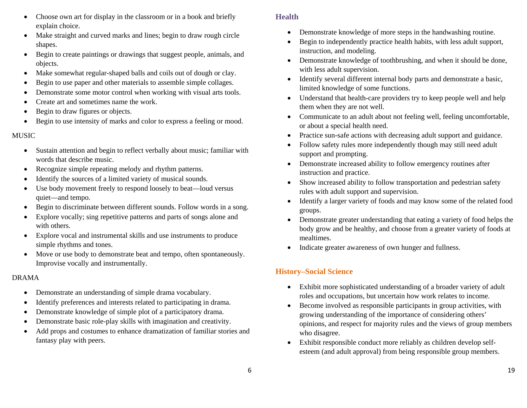- $\bullet$  Choose own art for display in the classroom or in a book and briefly explain choice.
- $\bullet$  Make straight and curved marks and lines; begin to draw rough circle shapes.
- $\bullet$  Begin to create paintings or drawings that suggest people, animals, and objects.
- $\bullet$ Make somewhat regular-shaped balls and coils out of dough or clay.
- $\bullet$ Begin to use paper and other materials to assemble simple collages.
- $\bullet$ Demonstrate some motor control when working with visual arts tools.
- $\bullet$ Create art and sometimes name the work.
- $\bullet$ Begin to draw figures or objects.
- $\bullet$ Begin to use intensity of marks and color to express a feeling or mood.

## MUSIC

- $\bullet$  Sustain attention and begin to reflect verbally about music; familiar with words that describe music.
- $\bullet$ Recognize simple repeating melody and rhythm patterns.
- $\bullet$ Identify the sources of a limited variety of musical sounds.
- $\bullet$  Use body movement freely to respond loosely to beat—loud versus quiet—and tempo.
- $\bullet$ Begin to discriminate between different sounds. Follow words in a song.
- $\bullet$  Explore vocally; sing repetitive patterns and parts of songs alone and with others.
- $\bullet$  Explore vocal and instrumental skills and use instruments to produce simple rhythms and tones.
- $\bullet$  Move or use body to demonstrate beat and tempo, often spontaneously. Improvise vocally and instrumentally.

## DRAMA

- $\bullet$ Demonstrate an understanding of simple drama vocabulary.
- $\bullet$ Identify preferences and interests related to participating in drama.
- $\bullet$ Demonstrate knowledge of simple plot of a participatory drama.
- $\bullet$ Demonstrate basic role-play skills with imagination and creativity.
- $\bullet$  Add props and costumes to enhance dramatization of familiar stories and fantasy play with peers.

# **Health**

- $\bullet$ Demonstrate knowledge of more steps in the handwashing routine.
- $\bullet$  Begin to independently practice health habits, with less adult support, instruction, and modeling.
- $\bullet$  Demonstrate knowledge of toothbrushing, and when it should be done, with less adult supervision.
- $\bullet$  Identify several different internal body parts and demonstrate a basic, limited knowledge of some functions.
- $\bullet$  Understand that health-care providers try to keep people well and help them when they are not well.
- Communicate to an adult about not feeling well, feeling uncomfortable, or about a special health need.
- $\bullet$ Practice sun-safe actions with decreasing adult support and guidance.
- e Follow safety rules more independently though may still need adult support and prompting.
- $\bullet$  Demonstrate increased ability to follow emergency routines after instruction and practice.
- $\bullet$  Show increased ability to follow transportation and pedestrian safety rules with adult support and supervision.
- $\bullet$  Identify a larger variety of foods and may know some of the related food groups.
- $\bullet$  Demonstrate greater understanding that eating a variety of food helps the body grow and be healthy, and choose from a greater variety of foods at mealtimes.
- $\bullet$ Indicate greater awareness of own hunger and fullness.

# **History–Social Science**

- $\bullet$  Exhibit more sophisticated understanding of a broader variety of adult roles and occupations, but uncertain how work relates to income.
- $\bullet$  Become involved as responsible participants in group activities, with growing understanding of the importance of considering others' opinions, and respect for majority rules and the views of group members who disagree.
- $\bullet$  Exhibit responsible conduct more reliably as children develop selfesteem (and adult approval) from being responsible group members.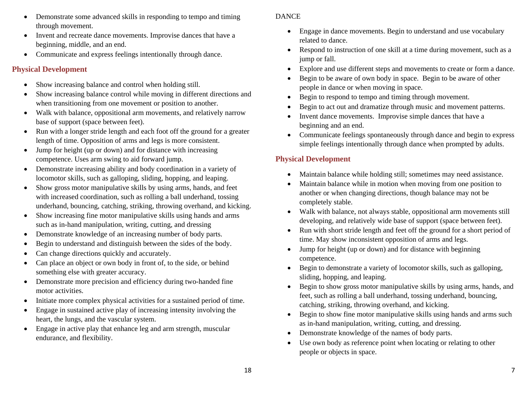- $\bullet$  Demonstrate some advanced skills in responding to tempo and timing through movement.
- Invent and recreate dance movements. Improvise dances that have a beginning, middle, and an end.
- Communicate and express feelings intentionally through dance.

# **Physical Development**

- $\bullet$ Show increasing balance and control when holding still.
- $\bullet$  Show increasing balance control while moving in different directions and when transitioning from one movement or position to another.
- $\bullet$  Walk with balance, oppositional arm movements, and relatively narrow base of support (space between feet).
- $\bullet$  Run with a longer stride length and each foot off the ground for a greater length of time. Opposition of arms and legs is more consistent.
- Jump for height (up or down) and for distance with increasing competence. Uses arm swing to aid forward jump.
- $\bullet$  Demonstrate increasing ability and body coordination in a variety of locomotor skills, such as galloping, sliding, hopping, and leaping.
- $\bullet$  Show gross motor manipulative skills by using arms, hands, and feet with increased coordination, such as rolling a ball underhand, tossing underhand, bouncing, catching, striking, throwing overhand, and kicking.
- $\bullet$  Show increasing fine motor manipulative skills using hands and arms such as in-hand manipulation, writing, cutting, and dressing
- $\bullet$ Demonstrate knowledge of an increasing number of body parts.
- $\bullet$ Begin to understand and distinguish between the sides of the body.
- $\bullet$ Can change directions quickly and accurately.
- $\bullet$  Can place an object or own body in front of, to the side, or behind something else with greater accuracy.
- $\bullet$  Demonstrate more precision and efficiency during two-handed fine motor activities.
- $\bullet$ Initiate more complex physical activities for a sustained period of time.
- $\bullet$  Engage in sustained active play of increasing intensity involving the heart, the lungs, and the vascular system.
- $\bullet$  Engage in active play that enhance leg and arm strength, muscular endurance, and flexibility.

#### DANCE

- $\bullet$  Engage in dance movements. Begin to understand and use vocabulary related to dance.
- $\bullet$  Respond to instruction of one skill at a time during movement, such as a jump or fall.
- $\bullet$ Explore and use different steps and movements to create or form a dance.
- 0 Begin to be aware of own body in space. Begin to be aware of other people in dance or when moving in space.
- $\bullet$ Begin to respond to tempo and timing through movement.
- 0 Begin to act out and dramatize through music and movement patterns.
- 0 Invent dance movements. Improvise simple dances that have a beginning and an end.
- Communicate feelings spontaneously through dance and begin to express simple feelings intentionally through dance when prompted by adults.

# **Physical Development**

- $\bullet$ Maintain balance while holding still; sometimes may need assistance.
- $\bullet$  Maintain balance while in motion when moving from one position to another or when changing directions, though balance may not be completely stable.
- $\bullet$  Walk with balance, not always stable, oppositional arm movements still developing, and relatively wide base of support (space between feet).
- $\bullet$  Run with short stride length and feet off the ground for a short period of time. May show inconsistent opposition of arms and legs.
- $\bullet$  Jump for height (up or down) and for distance with beginning competence.
- 0 Begin to demonstrate a variety of locomotor skills, such as galloping, sliding, hopping, and leaping.
- $\bullet$  Begin to show gross motor manipulative skills by using arms, hands, and feet, such as rolling a ball underhand, tossing underhand, bouncing, catching, striking, throwing overhand, and kicking.
- $\bullet$  Begin to show fine motor manipulative skills using hands and arms such as in-hand manipulation, writing, cutting, and dressing.
- 0 Demonstrate knowledge of the names of body parts.
- 0 Use own body as reference point when locating or relating to other people or objects in space.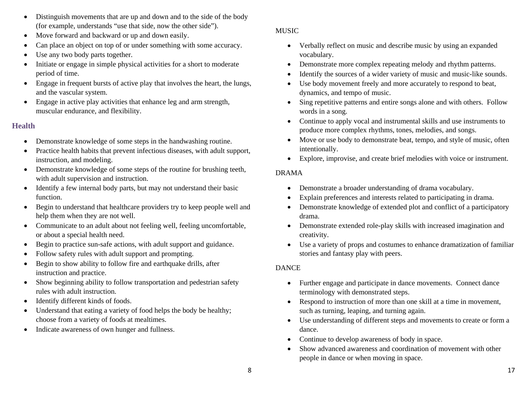- $\bullet$  Distinguish movements that are up and down and to the side of the body (for example, understands "use that side, now the other side").
- $\bullet$ Move forward and backward or up and down easily.
- $\bullet$ Can place an object on top of or under something with some accuracy.
- $\bullet$ Use any two body parts together.
- $\bullet$  Initiate or engage in simple physical activities for a short to moderate period of time.
- $\bullet$  Engage in frequent bursts of active play that involves the heart, the lungs, and the vascular system.
- $\bullet$  Engage in active play activities that enhance leg and arm strength, muscular endurance, and flexibility.

# **Health**

- Demonstrate knowledge of some steps in the handwashing routine.
- $\bullet$  Practice health habits that prevent infectious diseases, with adult support, instruction, and modeling.
- $\bullet$  Demonstrate knowledge of some steps of the routine for brushing teeth, with adult supervision and instruction.
- Identify a few internal body parts, but may not understand their basic function.
- $\bullet$  Begin to understand that healthcare providers try to keep people well and help them when they are not well.
- Communicate to an adult about not feeling well, feeling uncomfortable, or about a special health need.
- $\bullet$ Begin to practice sun-safe actions, with adult support and guidance.
- $\bullet$ Follow safety rules with adult support and prompting.
- $\bullet$  Begin to show ability to follow fire and earthquake drills, after instruction and practice.
- $\bullet$  Show beginning ability to follow transportation and pedestrian safety rules with adult instruction.
- $\bullet$ Identify different kinds of foods.
- $\bullet$  Understand that eating a variety of food helps the body be healthy; choose from a variety of foods at mealtimes.
- $\bullet$ Indicate awareness of own hunger and fullness.

## MUSIC

- $\bullet$  Verbally reflect on music and describe music by using an expanded vocabulary.
- $\bullet$ Demonstrate more complex repeating melody and rhythm patterns.
- 0 Identify the sources of a wider variety of music and music-like sounds.
- $\bullet$  Use body movement freely and more accurately to respond to beat, dynamics, and tempo of music.
- $\bullet$  Sing repetitive patterns and entire songs alone and with others. Follow words in a song.
- Continue to apply vocal and instrumental skills and use instruments to produce more complex rhythms, tones, melodies, and songs.
- $\bullet$  Move or use body to demonstrate beat, tempo, and style of music, often intentionally.
- Explore, improvise, and create brief melodies with voice or instrument.

## DRAMA

- $\bullet$ Demonstrate a broader understanding of drama vocabulary.
- 0 Explain preferences and interests related to participating in drama.
- 0 Demonstrate knowledge of extended plot and conflict of a participatory drama.
- Demonstrate extended role-play skills with increased imagination and creativity.
- Use a variety of props and costumes to enhance dramatization of familiar stories and fantasy play with peers.

# DANCE

- Further engage and participate in dance movements. Connect dance terminology with demonstrated steps.
- $\bullet$  Respond to instruction of more than one skill at a time in movement, such as turning, leaping, and turning again.
- $\bullet$  Use understanding of different steps and movements to create or form a dance.
- Continue to develop awareness of body in space.
- 0 Show advanced awareness and coordination of movement with other people in dance or when moving in space.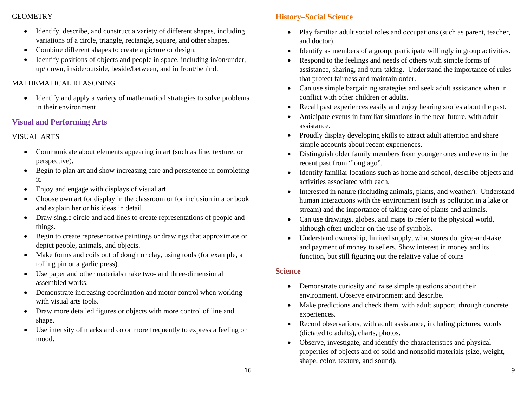#### GEOMETRY

- $\bullet$  Identify, describe, and construct a variety of different shapes, including variations of a circle, triangle, rectangle, square, and other shapes.
- $\bullet$ Combine different shapes to create a picture or design.
- $\bullet$  Identify positions of objects and people in space, including in/on/under, up/ down, inside/outside, beside/between, and in front/behind.

# MATHEMATICAL REASONING

• Identify and apply a variety of mathematical strategies to solve problems in their environment

# **Visual and Performing Arts**

# VISUAL ARTS

- Communicate about elements appearing in art (such as line, texture, or perspective).
- $\bullet$  Begin to plan art and show increasing care and persistence in completing it.
- $\bullet$ Enjoy and engage with displays of visual art.
- $\bullet$  Choose own art for display in the classroom or for inclusion in a or book and explain her or his ideas in detail.
- $\bullet$  Draw single circle and add lines to create representations of people and things.
- $\bullet$  Begin to create representative paintings or drawings that approximate or depict people, animals, and objects.
- $\bullet$  Make forms and coils out of dough or clay, using tools (for example, a rolling pin or a garlic press).
- $\bullet$  Use paper and other materials make two- and three-dimensional assembled works.
- $\bullet$  Demonstrate increasing coordination and motor control when working with visual arts tools.
- $\bullet$  Draw more detailed figures or objects with more control of line and shape.
- Use intensity of marks and color more frequently to express a feeling or mood.

# **History–Social Science**

- Play familiar adult social roles and occupations (such as parent, teacher, and doctor).
- $\bullet$ Identify as members of a group, participate willingly in group activities.
- c Respond to the feelings and needs of others with simple forms of assistance, sharing, and turn-taking. Understand the importance of rules that protect fairness and maintain order.
- $\bullet$  Can use simple bargaining strategies and seek adult assistance when in conflict with other children or adults.
- $\bullet$ Recall past experiences easily and enjoy hearing stories about the past.
- $\bullet$  Anticipate events in familiar situations in the near future, with adult assistance.
- Proudly display developing skills to attract adult attention and share simple accounts about recent experiences.
- $\bullet$  Distinguish older family members from younger ones and events in the recent past from "long ago".
- $\bullet$  Identify familiar locations such as home and school, describe objects and activities associated with each.
- $\bullet$  Interested in nature (including animals, plants, and weather). Understand human interactions with the environment (such as pollution in a lake or stream) and the importance of taking care of plants and animals.
- Can use drawings, globes, and maps to refer to the physical world, although often unclear on the use of symbols.
- $\bullet$  Understand ownership, limited supply, what stores do, give-and-take, and payment of money to sellers. Show interest in money and its function, but still figuring out the relative value of coins

## **Science**

- $\bullet$  Demonstrate curiosity and raise simple questions about their environment. Observe environment and describe.
- $\bullet$  Make predictions and check them, with adult support, through concrete experiences.
- $\bullet$  Record observations, with adult assistance, including pictures, words (dictated to adults), charts, photos.
- Observe, investigate, and identify the characteristics and physical properties of objects and of solid and nonsolid materials (size, weight, shape, color, texture, and sound).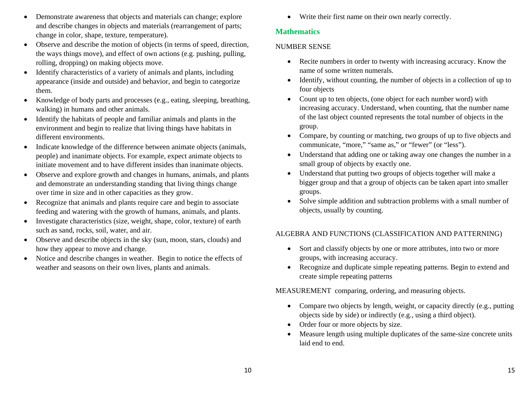- $\bullet$  Demonstrate awareness that objects and materials can change; explore and describe changes in objects and materials (rearrangement of parts; change in color, shape, texture, temperature).
- $\bullet$  Observe and describe the motion of objects (in terms of speed, direction, the ways things move), and effect of own actions (e.g. pushing, pulling, rolling, dropping) on making objects move.
- $\bullet$  Identify characteristics of a variety of animals and plants, including appearance (inside and outside) and behavior, and begin to categorize them.
- $\bullet$  Knowledge of body parts and processes (e.g., eating, sleeping, breathing, walking) in humans and other animals.
- $\bullet$  Identify the habitats of people and familiar animals and plants in the environment and begin to realize that living things have habitats in different environments.
- $\bullet$  Indicate knowledge of the difference between animate objects (animals, people) and inanimate objects. For example, expect animate objects to initiate movement and to have different insides than inanimate objects.
- $\bullet$  Observe and explore growth and changes in humans, animals, and plants and demonstrate an understanding standing that living things change over time in size and in other capacities as they grow.
- $\bullet$  Recognize that animals and plants require care and begin to associate feeding and watering with the growth of humans, animals, and plants.
- $\bullet$  Investigate characteristics (size, weight, shape, color, texture) of earth such as sand, rocks, soil, water, and air.
- $\bullet$  Observe and describe objects in the sky (sun, moon, stars, clouds) and how they appear to move and change.
- $\bullet$  Notice and describe changes in weather. Begin to notice the effects of weather and seasons on their own lives, plants and animals.

Write their first name on their own nearly correctly.

# **Mathematics**

# NUMBER SENSE

- Recite numbers in order to twenty with increasing accuracy. Know the name of some written numerals.
- $\bullet$  Identify, without counting, the number of objects in a collection of up to four objects
- $\bullet$  Count up to ten objects, (one object for each number word) with increasing accuracy. Understand, when counting, that the number name of the last object counted represents the total number of objects in the group.
- Compare, by counting or matching, two groups of up to five objects and communicate, "more," "same as," or "fewer" (or "less").
- $\bullet$  Understand that adding one or taking away one changes the number in a small group of objects by exactly one.
- $\bullet$  Understand that putting two groups of objects together will make a bigger group and that a group of objects can be taken apart into smaller groups.
- $\bullet$  Solve simple addition and subtraction problems with a small number of objects, usually by counting.

# ALGEBRA AND FUNCTIONS (CLASSIFICATION AND PATTERNING)

- $\bullet$  Sort and classify objects by one or more attributes, into two or more groups, with increasing accuracy.
- Recognize and duplicate simple repeating patterns. Begin to extend and create simple repeating patterns

MEASUREMENT comparing, ordering, and measuring objects.

- Compare two objects by length, weight, or capacity directly (e.g., putting objects side by side) or indirectly (e.g., using a third object).
- Order four or more objects by size.
- $\bullet$  Measure length using multiple duplicates of the same-size concrete units laid end to end.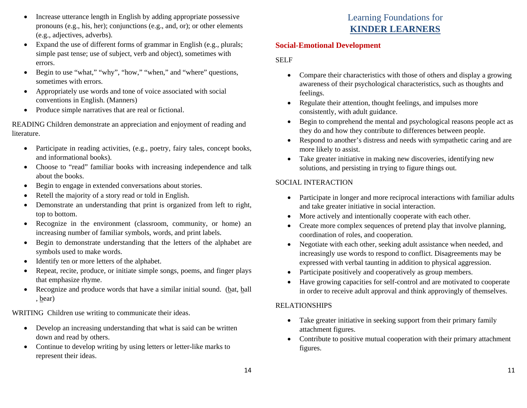- $\bullet$  Increase utterance length in English by adding appropriate possessive pronouns (e.g., his, her); conjunctions (e.g., and, or); or other elements (e.g., adjectives, adverbs).
- $\bullet$  Expand the use of different forms of grammar in English (e.g., plurals; simple past tense; use of subject, verb and object), sometimes with errors.
- $\bullet$ Begin to use "what," "why", "how," "when," and "where" questions, sometimes with errors.
- $\bullet$  Appropriately use words and tone of voice associated with social conventions in English. (Manners)
- $\bullet$ Produce simple narratives that are real or fictional.

READING Children demonstrate an appreciation and enjoyment of reading and literature.

- Participate in reading activities, (e.g., poetry, fairy tales, concept books, and informational books).
- Choose to "read" familiar books with increasing independence and talk about the books.
- $\bullet$ Begin to engage in extended conversations about stories.
- $\bullet$ Retell the majority of a story read or told in English.
- $\bullet$  Demonstrate an understanding that print is organized from left to right, top to bottom.
- $\bullet$  Recognize in the environment (classroom, community, or home) an increasing number of familiar symbols, words, and print labels.
- $\bullet$  Begin to demonstrate understanding that the letters of the alphabet are symbols used to make words.
- $\bullet$ Identify ten or more letters of the alphabet.
- $\bullet$  Repeat, recite, produce, or initiate simple songs, poems, and finger plays that emphasize rhyme.
- $\bullet$ Recognize and produce words that have a similar initial sound. (bat, ball , bear)

WRITING Children use writing to communicate their ideas.

- $\bullet$  Develop an increasing understanding that what is said can be written down and read by others.
- $\bullet$  Continue to develop writing by using letters or letter-like marks to represent their ideas.

# Learning Foundations for **KINDER LEARNERS**

#### **Social-Emotional Development**

#### SELF

- $\bullet$  Compare their characteristics with those of others and display a growing awareness of their psychological characteristics, such as thoughts and feelings.
- $\bullet$  Regulate their attention, thought feelings, and impulses more consistently, with adult guidance.
- $\bullet$  Begin to comprehend the mental and psychological reasons people act as they do and how they contribute to differences between people.
- $\bullet$  Respond to another's distress and needs with sympathetic caring and are more likely to assist.
- $\bullet$  Take greater initiative in making new discoveries, identifying new solutions, and persisting in trying to figure things out.

# SOCIAL INTERACTION

- $\bullet$  Participate in longer and more reciprocal interactions with familiar adults and take greater initiative in social interaction.
- 0 More actively and intentionally cooperate with each other.
- $\bullet$  Create more complex sequences of pretend play that involve planning, coordination of roles, and cooperation.
- $\bullet$  Negotiate with each other, seeking adult assistance when needed, and increasingly use words to respond to conflict. Disagreements may be expressed with verbal taunting in addition to physical aggression.
- 0 Participate positively and cooperatively as group members.
- $\bullet$  Have growing capacities for self-control and are motivated to cooperate in order to receive adult approval and think approvingly of themselves.

## RELATIONSHIPS

- Take greater initiative in seeking support from their primary family attachment figures.
- Contribute to positive mutual cooperation with their primary attachment figures.